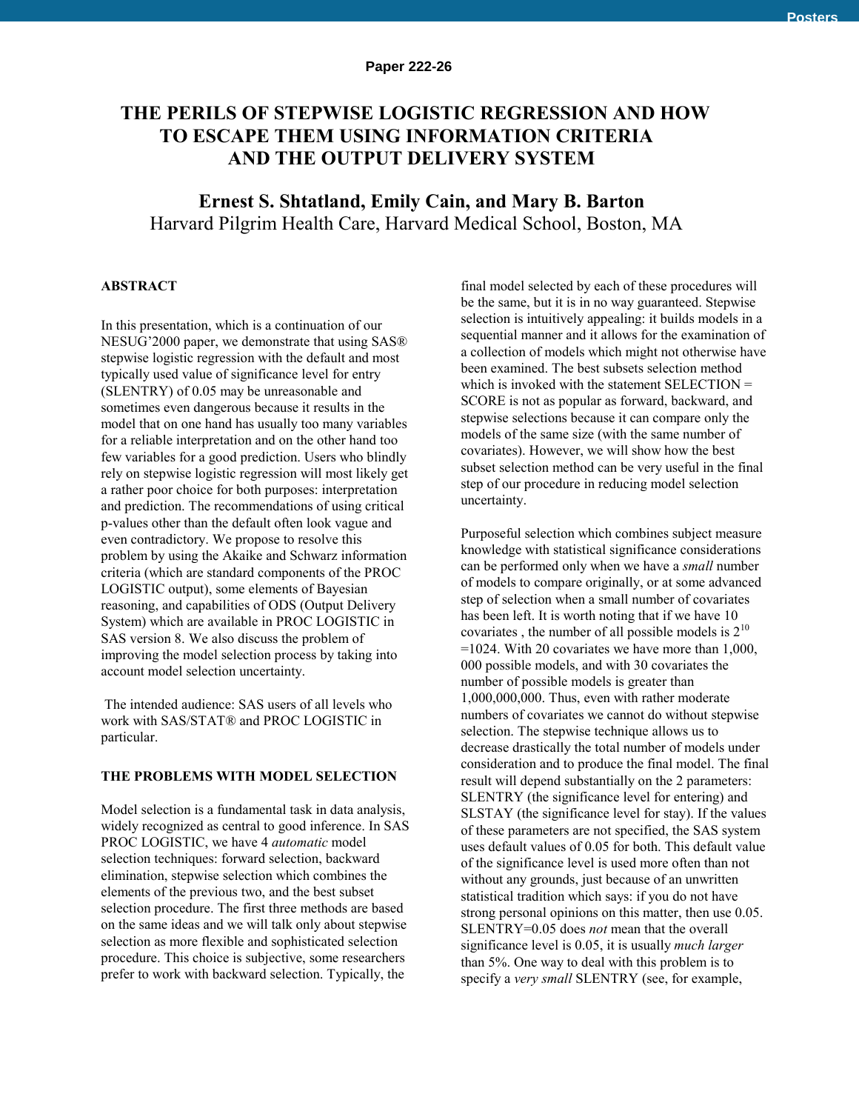# **THE PERILS OF STEPWISE LOGISTIC REGRESSION AND HOW TO ESCAPE THEM USING INFORMATION CRITERIA AND THE OUTPUT DELIVERY SYSTEM**

 **Ernest S. Shtatland, Emily Cain, and Mary B. Barton** Harvard Pilgrim Health Care, Harvard Medical School, Boston, MA

## **ABSTRACT**

In this presentation, which is a continuation of our NESUG'2000 paper, we demonstrate that using SAS® stepwise logistic regression with the default and most typically used value of significance level for entry (SLENTRY) of 0.05 may be unreasonable and sometimes even dangerous because it results in the model that on one hand has usually too many variables for a reliable interpretation and on the other hand too few variables for a good prediction. Users who blindly rely on stepwise logistic regression will most likely get a rather poor choice for both purposes: interpretation and prediction. The recommendations of using critical p-values other than the default often look vague and even contradictory. We propose to resolve this problem by using the Akaike and Schwarz information criteria (which are standard components of the PROC LOGISTIC output), some elements of Bayesian reasoning, and capabilities of ODS (Output Delivery System) which are available in PROC LOGISTIC in SAS version 8. We also discuss the problem of improving the model selection process by taking into account model selection uncertainty.

 The intended audience: SAS users of all levels who work with SAS/STAT® and PROC LOGISTIC in particular.

#### **THE PROBLEMS WITH MODEL SELECTION**

Model selection is a fundamental task in data analysis, widely recognized as central to good inference. In SAS PROC LOGISTIC, we have 4 *automatic* model selection techniques: forward selection, backward elimination, stepwise selection which combines the elements of the previous two, and the best subset selection procedure. The first three methods are based on the same ideas and we will talk only about stepwise selection as more flexible and sophisticated selection procedure. This choice is subjective, some researchers prefer to work with backward selection. Typically, the

final model selected by each of these procedures will be the same, but it is in no way guaranteed. Stepwise selection is intuitively appealing: it builds models in a sequential manner and it allows for the examination of a collection of models which might not otherwise have been examined. The best subsets selection method which is invoked with the statement SELECTION = SCORE is not as popular as forward, backward, and stepwise selections because it can compare only the models of the same size (with the same number of covariates). However, we will show how the best subset selection method can be very useful in the final step of our procedure in reducing model selection uncertainty.

Purposeful selection which combines subject measure knowledge with statistical significance considerations can be performed only when we have a *small* number of models to compare originally, or at some advanced step of selection when a small number of covariates has been left. It is worth noting that if we have 10 covariates, the number of all possible models is  $2^{10}$ =1024. With 20 covariates we have more than 1,000, 000 possible models, and with 30 covariates the number of possible models is greater than 1,000,000,000. Thus, even with rather moderate numbers of covariates we cannot do without stepwise selection. The stepwise technique allows us to decrease drastically the total number of models under consideration and to produce the final model. The final result will depend substantially on the 2 parameters: SLENTRY (the significance level for entering) and SLSTAY (the significance level for stay). If the values of these parameters are not specified, the SAS system uses default values of 0.05 for both. This default value of the significance level is used more often than not without any grounds, just because of an unwritten statistical tradition which says: if you do not have strong personal opinions on this matter, then use 0.05. SLENTRY=0.05 does *not* mean that the overall significance level is 0.05, it is usually *much larger* than 5%. One way to deal with this problem is to specify a *very small* SLENTRY (see, for example,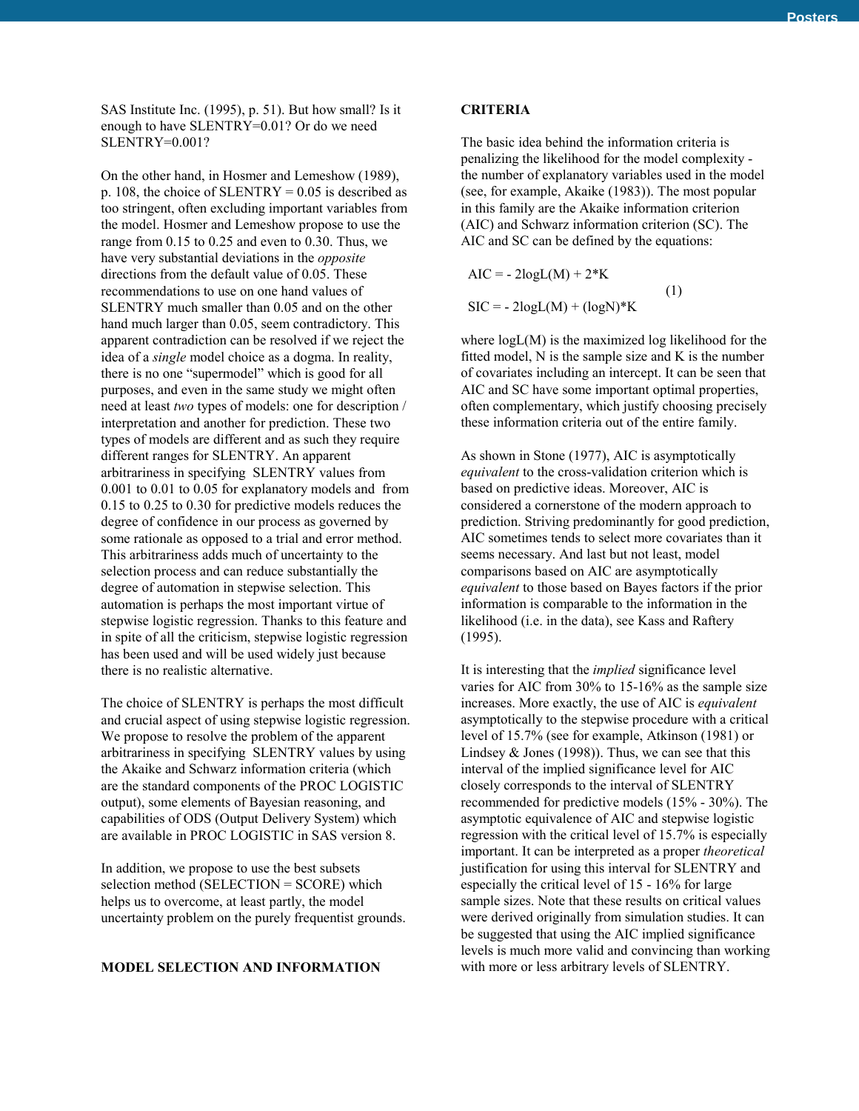SAS Institute Inc. (1995), p. 51). But how small? Is it enough to have SLENTRY=0.01? Or do we need SLENTRY=0.001?

On the other hand, in Hosmer and Lemeshow (1989), p. 108, the choice of SLENTRY =  $0.05$  is described as too stringent, often excluding important variables from the model. Hosmer and Lemeshow propose to use the range from 0.15 to 0.25 and even to 0.30. Thus, we have very substantial deviations in the *opposite* directions from the default value of 0.05. These recommendations to use on one hand values of SLENTRY much smaller than 0.05 and on the other hand much larger than 0.05, seem contradictory. This apparent contradiction can be resolved if we reject the idea of a *single* model choice as a dogma. In reality, there is no one "supermodel" which is good for all purposes, and even in the same study we might often need at least *two* types of models: one for description / interpretation and another for prediction. These two types of models are different and as such they require different ranges for SLENTRY. An apparent arbitrariness in specifying SLENTRY values from 0.001 to 0.01 to 0.05 for explanatory models and from 0.15 to 0.25 to 0.30 for predictive models reduces the degree of confidence in our process as governed by some rationale as opposed to a trial and error method. This arbitrariness adds much of uncertainty to the selection process and can reduce substantially the degree of automation in stepwise selection. This automation is perhaps the most important virtue of stepwise logistic regression. Thanks to this feature and in spite of all the criticism, stepwise logistic regression has been used and will be used widely just because there is no realistic alternative.

The choice of SLENTRY is perhaps the most difficult and crucial aspect of using stepwise logistic regression. We propose to resolve the problem of the apparent arbitrariness in specifying SLENTRY values by using the Akaike and Schwarz information criteria (which are the standard components of the PROC LOGISTIC output), some elements of Bayesian reasoning, and capabilities of ODS (Output Delivery System) which are available in PROC LOGISTIC in SAS version 8.

In addition, we propose to use the best subsets selection method (SELECTION = SCORE) which helps us to overcome, at least partly, the model uncertainty problem on the purely frequentist grounds.

#### **MODEL SELECTION AND INFORMATION**

#### **CRITERIA**

The basic idea behind the information criteria is penalizing the likelihood for the model complexity the number of explanatory variables used in the model (see, for example, Akaike (1983)). The most popular in this family are the Akaike information criterion (AIC) and Schwarz information criterion (SC). The AIC and SC can be defined by the equations:

 $AIC = -2logL(M) + 2*K$  (1)  $SIC = -2logL(M) + (logN)*K$ 

where logL(M) is the maximized log likelihood for the fitted model, N is the sample size and K is the number of covariates including an intercept. It can be seen that AIC and SC have some important optimal properties, often complementary, which justify choosing precisely these information criteria out of the entire family.

As shown in Stone (1977), AIC is asymptotically *equivalent* to the cross-validation criterion which is based on predictive ideas. Moreover, AIC is considered a cornerstone of the modern approach to prediction. Striving predominantly for good prediction, AIC sometimes tends to select more covariates than it seems necessary. And last but not least, model comparisons based on AIC are asymptotically *equivalent* to those based on Bayes factors if the prior information is comparable to the information in the likelihood (i.e. in the data), see Kass and Raftery (1995).

It is interesting that the *implied* significance level varies for AIC from 30% to 15-16% as the sample size increases. More exactly, the use of AIC is *equivalent* asymptotically to the stepwise procedure with a critical level of 15.7% (see for example, Atkinson (1981) or Lindsey  $&$  Jones (1998)). Thus, we can see that this interval of the implied significance level for AIC closely corresponds to the interval of SLENTRY recommended for predictive models (15% - 30%). The asymptotic equivalence of AIC and stepwise logistic regression with the critical level of 15.7% is especially important. It can be interpreted as a proper *theoretical* justification for using this interval for SLENTRY and especially the critical level of 15 - 16% for large sample sizes. Note that these results on critical values were derived originally from simulation studies. It can be suggested that using the AIC implied significance levels is much more valid and convincing than working with more or less arbitrary levels of SLENTRY.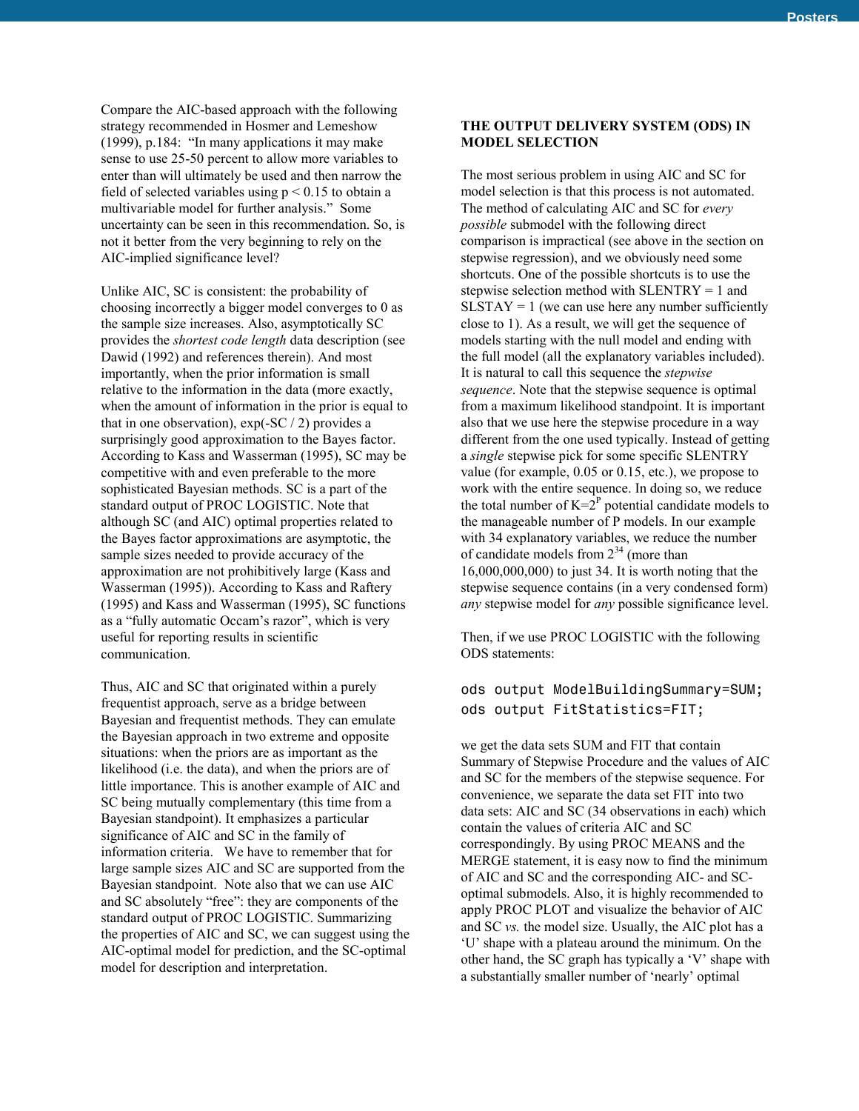Compare the AIC-based approach with the following strategy recommended in Hosmer and Lemeshow (1999), p.184: "In many applications it may make sense to use 25-50 percent to allow more variables to enter than will ultimately be used and then narrow the field of selected variables using  $p \le 0.15$  to obtain a multivariable model for further analysis." Some uncertainty can be seen in this recommendation. So, is not it better from the very beginning to rely on the AIC-implied significance level?

Unlike AIC, SC is consistent: the probability of choosing incorrectly a bigger model converges to 0 as the sample size increases. Also, asymptotically SC provides the *shortest code length* data description (see Dawid (1992) and references therein). And most importantly, when the prior information is small relative to the information in the data (more exactly, when the amount of information in the prior is equal to that in one observation),  $exp(-SC / 2)$  provides a surprisingly good approximation to the Bayes factor. According to Kass and Wasserman (1995), SC may be competitive with and even preferable to the more sophisticated Bayesian methods. SC is a part of the standard output of PROC LOGISTIC. Note that although SC (and AIC) optimal properties related to the Bayes factor approximations are asymptotic, the sample sizes needed to provide accuracy of the approximation are not prohibitively large (Kass and Wasserman (1995)). According to Kass and Raftery (1995) and Kass and Wasserman (1995), SC functions as a "fully automatic Occam's razor", which is very useful for reporting results in scientific communication.

Thus, AIC and SC that originated within a purely frequentist approach, serve as a bridge between Bayesian and frequentist methods. They can emulate the Bayesian approach in two extreme and opposite situations: when the priors are as important as the likelihood (i.e. the data), and when the priors are of little importance. This is another example of AIC and SC being mutually complementary (this time from a Bayesian standpoint). It emphasizes a particular significance of AIC and SC in the family of information criteria. We have to remember that for large sample sizes AIC and SC are supported from the Bayesian standpoint. Note also that we can use AIC and SC absolutely "free": they are components of the standard output of PROC LOGISTIC. Summarizing the properties of AIC and SC, we can suggest using the AIC-optimal model for prediction, and the SC-optimal model for description and interpretation.

### **THE OUTPUT DELIVERY SYSTEM (ODS) IN MODEL SELECTION**

The most serious problem in using AIC and SC for model selection is that this process is not automated. The method of calculating AIC and SC for *every possible* submodel with the following direct comparison is impractical (see above in the section on stepwise regression), and we obviously need some shortcuts. One of the possible shortcuts is to use the stepwise selection method with SLENTRY = 1 and  $SLSTAY = 1$  (we can use here any number sufficiently close to 1). As a result, we will get the sequence of models starting with the null model and ending with the full model (all the explanatory variables included). It is natural to call this sequence the *stepwise sequence*. Note that the stepwise sequence is optimal from a maximum likelihood standpoint. It is important also that we use here the stepwise procedure in a way different from the one used typically. Instead of getting a *single* stepwise pick for some specific SLENTRY value (for example, 0.05 or 0.15, etc.), we propose to work with the entire sequence. In doing so, we reduce the total number of  $K = 2^P$  potential candidate models to the manageable number of P models. In our example with 34 explanatory variables, we reduce the number of candidate models from  $2^{34}$  (more than 16,000,000,000) to just 34. It is worth noting that the stepwise sequence contains (in a very condensed form) *any* stepwise model for *any* possible significance level.

Then, if we use PROC LOGISTIC with the following ODS statements:

## ods output ModelBuildingSummary=SUM; ods output FitStatistics=FIT;

we get the data sets SUM and FIT that contain Summary of Stepwise Procedure and the values of AIC and SC for the members of the stepwise sequence. For convenience, we separate the data set FIT into two data sets: AIC and SC (34 observations in each) which contain the values of criteria AIC and SC correspondingly. By using PROC MEANS and the MERGE statement, it is easy now to find the minimum of AIC and SC and the corresponding AIC- and SCoptimal submodels. Also, it is highly recommended to apply PROC PLOT and visualize the behavior of AIC and SC *vs.* the model size. Usually, the AIC plot has a 'U' shape with a plateau around the minimum. On the other hand, the SC graph has typically a 'V' shape with a substantially smaller number of 'nearly' optimal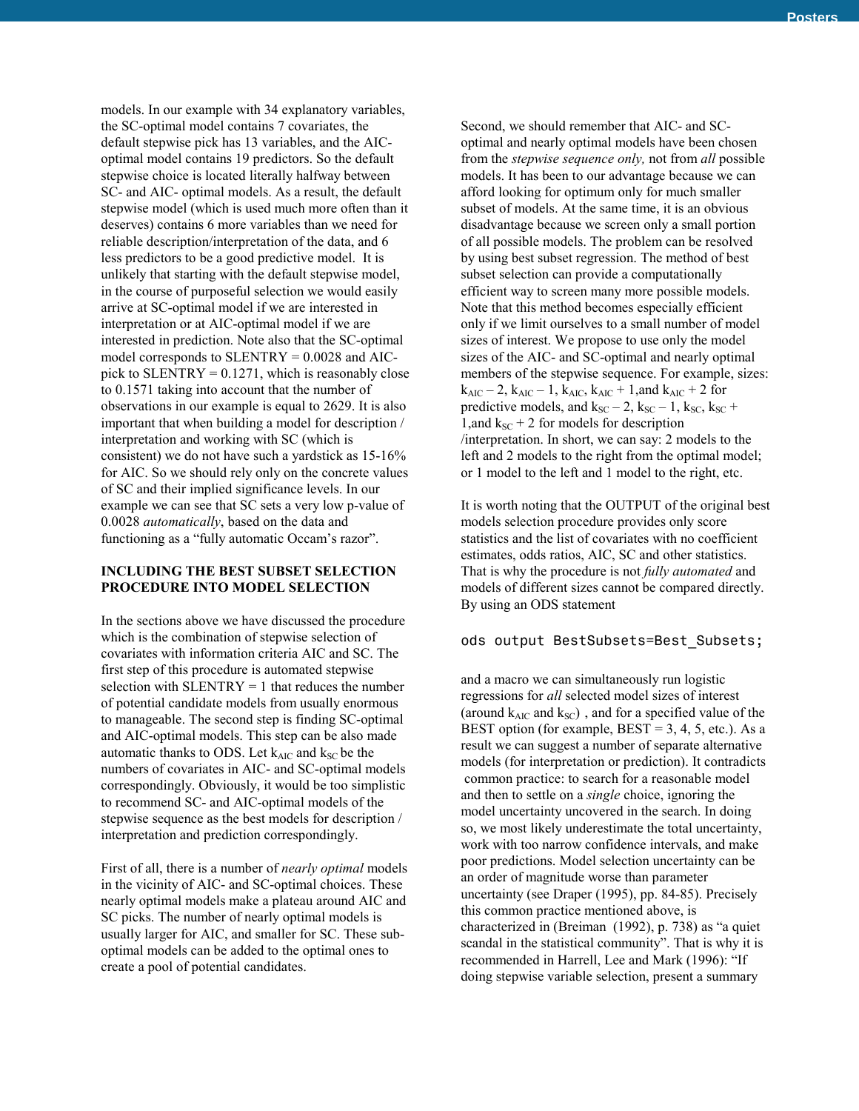models. In our example with 34 explanatory variables, the SC-optimal model contains 7 covariates, the default stepwise pick has 13 variables, and the AICoptimal model contains 19 predictors. So the default stepwise choice is located literally halfway between SC- and AIC- optimal models. As a result, the default stepwise model (which is used much more often than it deserves) contains 6 more variables than we need for reliable description/interpretation of the data, and 6 less predictors to be a good predictive model. It is unlikely that starting with the default stepwise model, in the course of purposeful selection we would easily arrive at SC-optimal model if we are interested in interpretation or at AIC-optimal model if we are interested in prediction. Note also that the SC-optimal model corresponds to SLENTRY = 0.0028 and AICpick to  $SLENTRY = 0.1271$ , which is reasonably close to 0.1571 taking into account that the number of observations in our example is equal to 2629. It is also important that when building a model for description / interpretation and working with SC (which is consistent) we do not have such a yardstick as 15-16% for AIC. So we should rely only on the concrete values of SC and their implied significance levels. In our example we can see that SC sets a very low p-value of 0.0028 *automatically*, based on the data and functioning as a "fully automatic Occam's razor".

#### **INCLUDING THE BEST SUBSET SELECTION PROCEDURE INTO MODEL SELECTION**

In the sections above we have discussed the procedure which is the combination of stepwise selection of covariates with information criteria AIC and SC. The first step of this procedure is automated stepwise selection with  $SLENTRY = 1$  that reduces the number of potential candidate models from usually enormous to manageable. The second step is finding SC-optimal and AIC-optimal models. This step can be also made automatic thanks to ODS. Let  $k_{AIC}$  and  $k_{SC}$  be the numbers of covariates in AIC- and SC-optimal models correspondingly. Obviously, it would be too simplistic to recommend SC- and AIC-optimal models of the stepwise sequence as the best models for description / interpretation and prediction correspondingly.

First of all, there is a number of *nearly optimal* models in the vicinity of AIC- and SC-optimal choices. These nearly optimal models make a plateau around AIC and SC picks. The number of nearly optimal models is usually larger for AIC, and smaller for SC. These suboptimal models can be added to the optimal ones to create a pool of potential candidates.

Second, we should remember that AIC- and SCoptimal and nearly optimal models have been chosen from the *stepwise sequence only,* not from *all* possible models. It has been to our advantage because we can afford looking for optimum only for much smaller subset of models. At the same time, it is an obvious disadvantage because we screen only a small portion of all possible models. The problem can be resolved by using best subset regression. The method of best subset selection can provide a computationally efficient way to screen many more possible models. Note that this method becomes especially efficient only if we limit ourselves to a small number of model sizes of interest. We propose to use only the model sizes of the AIC- and SC-optimal and nearly optimal members of the stepwise sequence. For example, sizes:  $k_{AIC} - 2$ ,  $k_{AIC} - 1$ ,  $k_{AIC}$ ,  $k_{AIC} + 1$ , and  $k_{AIC} + 2$  for predictive models, and  $k_{SC}$  – 2,  $k_{SC}$  – 1,  $k_{SC}$ ,  $k_{SC}$  + 1,and  $k_{SC}$  + 2 for models for description /interpretation. In short, we can say: 2 models to the left and 2 models to the right from the optimal model; or 1 model to the left and 1 model to the right, etc.

It is worth noting that the OUTPUT of the original best models selection procedure provides only score statistics and the list of covariates with no coefficient estimates, odds ratios, AIC, SC and other statistics. That is why the procedure is not *fully automated* and models of different sizes cannot be compared directly. By using an ODS statement

#### ods output BestSubsets=Best\_Subsets;

and a macro we can simultaneously run logistic regressions for *all* selected model sizes of interest (around  $k_{AIC}$  and  $k_{SC}$ ), and for a specified value of the BEST option (for example,  $\text{BEST} = 3, 4, 5, \text{etc.}$ ). As a result we can suggest a number of separate alternative models (for interpretation or prediction). It contradicts common practice: to search for a reasonable model and then to settle on a *single* choice, ignoring the model uncertainty uncovered in the search. In doing so, we most likely underestimate the total uncertainty, work with too narrow confidence intervals, and make poor predictions. Model selection uncertainty can be an order of magnitude worse than parameter uncertainty (see Draper (1995), pp. 84-85). Precisely this common practice mentioned above, is characterized in (Breiman (1992), p. 738) as "a quiet scandal in the statistical community". That is why it is recommended in Harrell, Lee and Mark (1996): "If doing stepwise variable selection, present a summary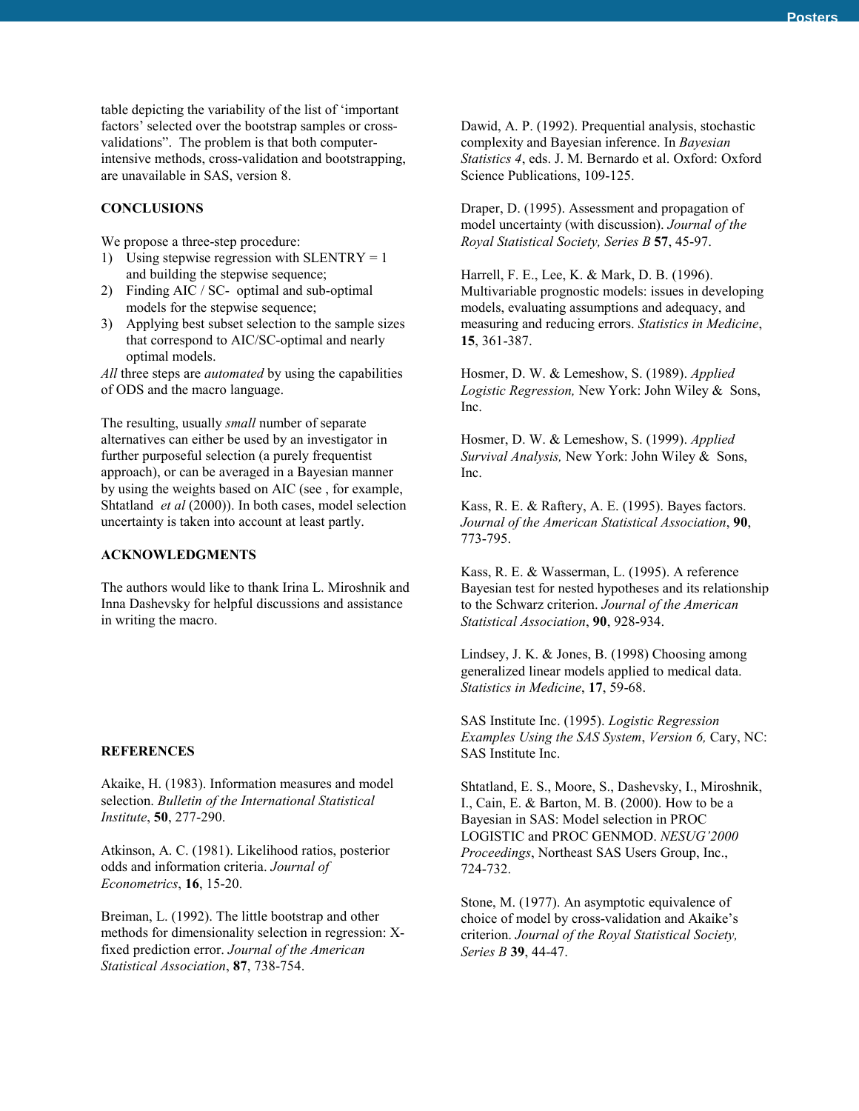table depicting the variability of the list of 'important factors' selected over the bootstrap samples or crossvalidations". The problem is that both computerintensive methods, cross-validation and bootstrapping, are unavailable in SAS, version 8.

#### **CONCLUSIONS**

We propose a three-step procedure:

- 1) Using stepwise regression with  $SLENTRY = 1$ and building the stepwise sequence;
- 2) Finding AIC / SC- optimal and sub-optimal models for the stepwise sequence;
- 3) Applying best subset selection to the sample sizes that correspond to AIC/SC-optimal and nearly optimal models.

*All* three steps are *automated* by using the capabilities of ODS and the macro language.

The resulting, usually *small* number of separate alternatives can either be used by an investigator in further purposeful selection (a purely frequentist approach), or can be averaged in a Bayesian manner by using the weights based on AIC (see , for example, Shtatland *et al* (2000)). In both cases, model selection uncertainty is taken into account at least partly.

## **ACKNOWLEDGMENTS**

The authors would like to thank Irina L. Miroshnik and Inna Dashevsky for helpful discussions and assistance in writing the macro.

#### **REFERENCES**

Akaike, H. (1983). Information measures and model selection. *Bulletin of the International Statistical Institute*, **50**, 277-290.

Atkinson, A. C. (1981). Likelihood ratios, posterior odds and information criteria. *Journal of Econometrics*, **16**, 15-20.

Breiman, L. (1992). The little bootstrap and other methods for dimensionality selection in regression: Xfixed prediction error. *Journal of the American Statistical Association*, **87**, 738-754.

Dawid, A. P. (1992). Prequential analysis, stochastic complexity and Bayesian inference. In *Bayesian Statistics 4*, eds. J. M. Bernardo et al. Oxford: Oxford Science Publications, 109-125.

Draper, D. (1995). Assessment and propagation of model uncertainty (with discussion). *Journal of the Royal Statistical Society, Series B* **57**, 45-97.

Harrell, F. E., Lee, K. & Mark, D. B. (1996). Multivariable prognostic models: issues in developing models, evaluating assumptions and adequacy, and measuring and reducing errors. *Statistics in Medicine*, **15**, 361-387.

Hosmer, D. W. & Lemeshow, S. (1989). *Applied Logistic Regression,* New York: John Wiley & Sons, Inc.

Hosmer, D. W. & Lemeshow, S. (1999). *Applied Survival Analysis,* New York: John Wiley & Sons, Inc.

Kass, R. E. & Raftery, A. E. (1995). Bayes factors. *Journal of the American Statistical Association*, **90**, 773-795.

Kass, R. E. & Wasserman, L. (1995). A reference Bayesian test for nested hypotheses and its relationship to the Schwarz criterion. *Journal of the American Statistical Association*, **90**, 928-934.

Lindsey, J. K. & Jones, B. (1998) Choosing among generalized linear models applied to medical data. *Statistics in Medicine*, **17**, 59-68.

SAS Institute Inc. (1995). *Logistic Regression Examples Using the SAS System*, *Version 6,* Cary, NC: SAS Institute Inc.

Shtatland, E. S., Moore, S., Dashevsky, I., Miroshnik, I., Cain, E. & Barton, M. B. (2000). How to be a Bayesian in SAS: Model selection in PROC LOGISTIC and PROC GENMOD. *NESUG'2000 Proceedings*, Northeast SAS Users Group, Inc., 724-732.

Stone, M. (1977). An asymptotic equivalence of choice of model by cross-validation and Akaike's criterion. *Journal of the Royal Statistical Society, Series B* **39**, 44-47.